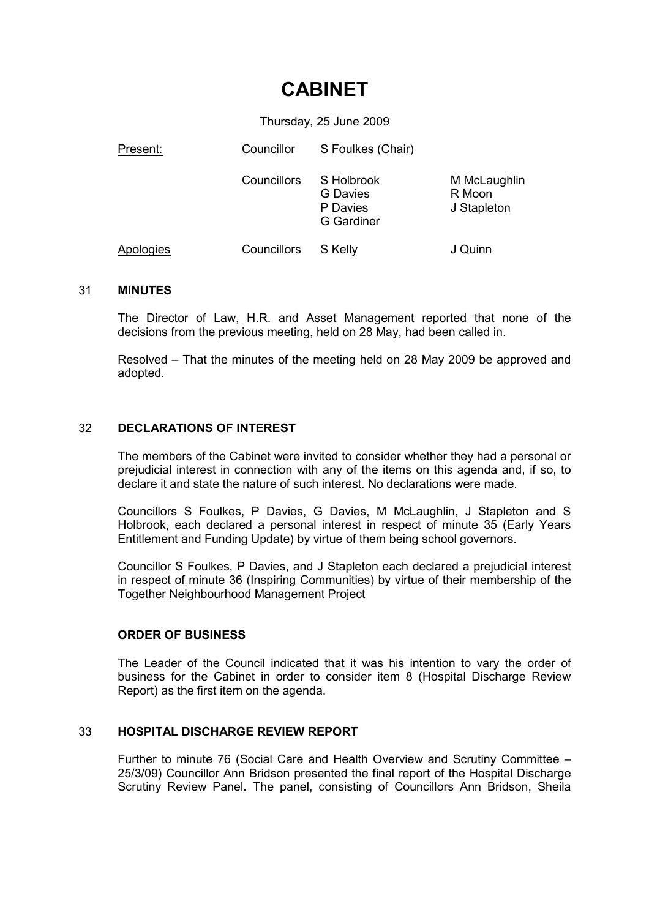# CABINET

Thursday, 25 June 2009

| Present:  | Councillor  | S Foulkes (Chair)                                       |                                       |
|-----------|-------------|---------------------------------------------------------|---------------------------------------|
|           | Councillors | S Holbrook<br><b>G</b> Davies<br>P Davies<br>G Gardiner | M McLaughlin<br>R Moon<br>J Stapleton |
| Apologies | Councillors | S Kelly                                                 | J Quinn                               |

#### 31 MINUTES

The Director of Law, H.R. and Asset Management reported that none of the decisions from the previous meeting, held on 28 May, had been called in.

Resolved – That the minutes of the meeting held on 28 May 2009 be approved and adopted.

# 32 DECLARATIONS OF INTEREST

The members of the Cabinet were invited to consider whether they had a personal or prejudicial interest in connection with any of the items on this agenda and, if so, to declare it and state the nature of such interest. No declarations were made.

Councillors S Foulkes, P Davies, G Davies, M McLaughlin, J Stapleton and S Holbrook, each declared a personal interest in respect of minute 35 (Early Years Entitlement and Funding Update) by virtue of them being school governors.

Councillor S Foulkes, P Davies, and J Stapleton each declared a prejudicial interest in respect of minute 36 (Inspiring Communities) by virtue of their membership of the Together Neighbourhood Management Project

## ORDER OF BUSINESS

The Leader of the Council indicated that it was his intention to vary the order of business for the Cabinet in order to consider item 8 (Hospital Discharge Review Report) as the first item on the agenda.

## 33 HOSPITAL DISCHARGE REVIEW REPORT

Further to minute 76 (Social Care and Health Overview and Scrutiny Committee – 25/3/09) Councillor Ann Bridson presented the final report of the Hospital Discharge Scrutiny Review Panel. The panel, consisting of Councillors Ann Bridson, Sheila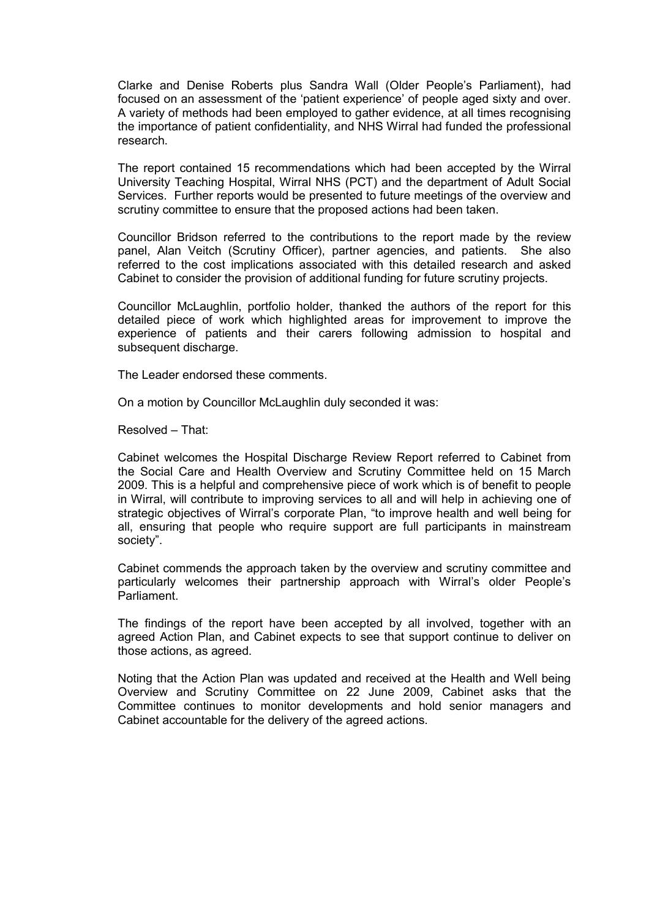Clarke and Denise Roberts plus Sandra Wall (Older People's Parliament), had focused on an assessment of the 'patient experience' of people aged sixty and over. A variety of methods had been employed to gather evidence, at all times recognising the importance of patient confidentiality, and NHS Wirral had funded the professional research.

The report contained 15 recommendations which had been accepted by the Wirral University Teaching Hospital, Wirral NHS (PCT) and the department of Adult Social Services. Further reports would be presented to future meetings of the overview and scrutiny committee to ensure that the proposed actions had been taken.

Councillor Bridson referred to the contributions to the report made by the review panel, Alan Veitch (Scrutiny Officer), partner agencies, and patients. She also referred to the cost implications associated with this detailed research and asked Cabinet to consider the provision of additional funding for future scrutiny projects.

Councillor McLaughlin, portfolio holder, thanked the authors of the report for this detailed piece of work which highlighted areas for improvement to improve the experience of patients and their carers following admission to hospital and subsequent discharge.

The Leader endorsed these comments.

On a motion by Councillor McLaughlin duly seconded it was:

Resolved – That:

Cabinet welcomes the Hospital Discharge Review Report referred to Cabinet from the Social Care and Health Overview and Scrutiny Committee held on 15 March 2009. This is a helpful and comprehensive piece of work which is of benefit to people in Wirral, will contribute to improving services to all and will help in achieving one of strategic objectives of Wirral's corporate Plan, "to improve health and well being for all, ensuring that people who require support are full participants in mainstream society".

Cabinet commends the approach taken by the overview and scrutiny committee and particularly welcomes their partnership approach with Wirral's older People's Parliament.

The findings of the report have been accepted by all involved, together with an agreed Action Plan, and Cabinet expects to see that support continue to deliver on those actions, as agreed.

Noting that the Action Plan was updated and received at the Health and Well being Overview and Scrutiny Committee on 22 June 2009, Cabinet asks that the Committee continues to monitor developments and hold senior managers and Cabinet accountable for the delivery of the agreed actions.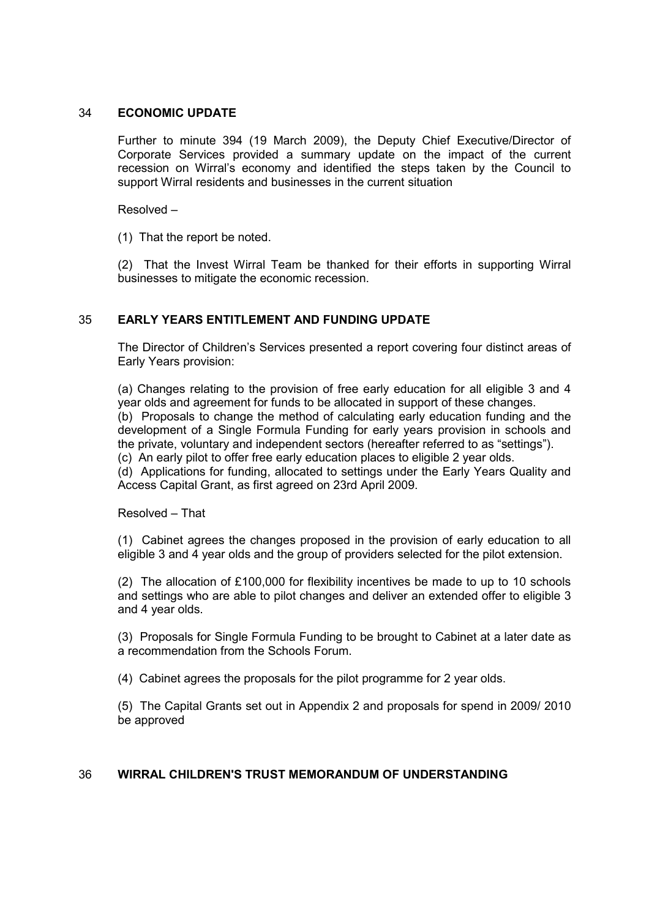#### 34 ECONOMIC UPDATE

Further to minute 394 (19 March 2009), the Deputy Chief Executive/Director of Corporate Services provided a summary update on the impact of the current recession on Wirral's economy and identified the steps taken by the Council to support Wirral residents and businesses in the current situation

Resolved –

(1) That the report be noted.

(2) That the Invest Wirral Team be thanked for their efforts in supporting Wirral businesses to mitigate the economic recession.

## 35 **EARLY YEARS ENTITLEMENT AND FUNDING UPDATE**

The Director of Children's Services presented a report covering four distinct areas of Early Years provision:

(a) Changes relating to the provision of free early education for all eligible 3 and 4 year olds and agreement for funds to be allocated in support of these changes. (b) Proposals to change the method of calculating early education funding and the development of a Single Formula Funding for early years provision in schools and the private, voluntary and independent sectors (hereafter referred to as "settings").

(c) An early pilot to offer free early education places to eligible 2 year olds.

(d) Applications for funding, allocated to settings under the Early Years Quality and Access Capital Grant, as first agreed on 23rd April 2009.

Resolved – That

(1) Cabinet agrees the changes proposed in the provision of early education to all eligible 3 and 4 year olds and the group of providers selected for the pilot extension.

(2) The allocation of £100,000 for flexibility incentives be made to up to 10 schools and settings who are able to pilot changes and deliver an extended offer to eligible 3 and 4 year olds.

(3) Proposals for Single Formula Funding to be brought to Cabinet at a later date as a recommendation from the Schools Forum.

(4) Cabinet agrees the proposals for the pilot programme for 2 year olds.

(5) The Capital Grants set out in Appendix 2 and proposals for spend in 2009/ 2010 be approved

#### 36 WIRRAL CHILDREN'S TRUST MEMORANDUM OF UNDERSTANDING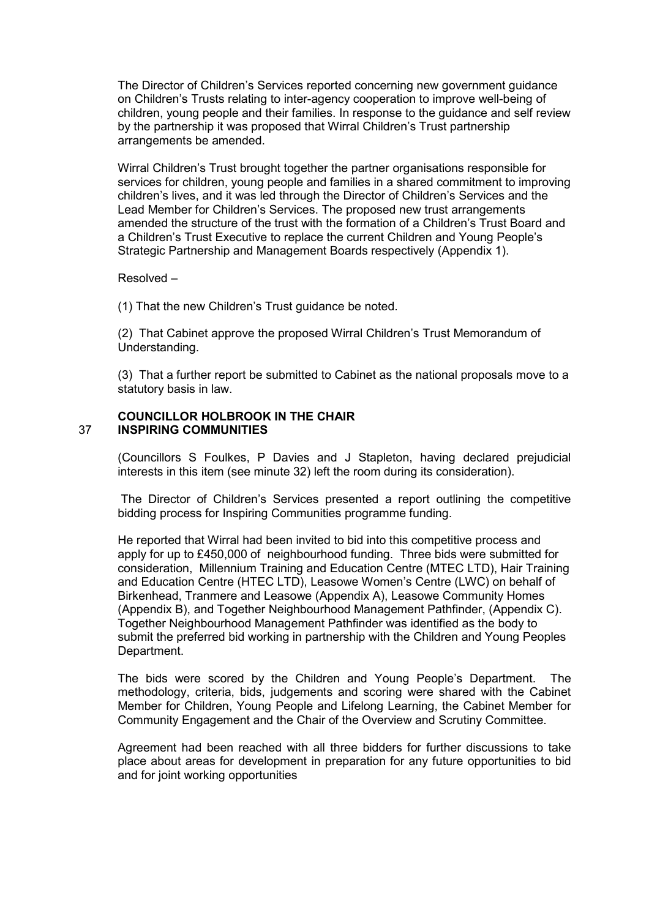The Director of Children's Services reported concerning new government guidance on Children's Trusts relating to inter-agency cooperation to improve well-being of children, young people and their families. In response to the guidance and self review by the partnership it was proposed that Wirral Children's Trust partnership arrangements be amended.

Wirral Children's Trust brought together the partner organisations responsible for services for children, young people and families in a shared commitment to improving children's lives, and it was led through the Director of Children's Services and the Lead Member for Children's Services. The proposed new trust arrangements amended the structure of the trust with the formation of a Children's Trust Board and a Children's Trust Executive to replace the current Children and Young People's Strategic Partnership and Management Boards respectively (Appendix 1).

Resolved –

(1) That the new Children's Trust guidance be noted.

(2) That Cabinet approve the proposed Wirral Children's Trust Memorandum of Understanding.

(3) That a further report be submitted to Cabinet as the national proposals move to a statutory basis in law.

#### COUNCILLOR HOLBROOK IN THE CHAIR 37 INSPIRING COMMUNITIES

(Councillors S Foulkes, P Davies and J Stapleton, having declared prejudicial interests in this item (see minute 32) left the room during its consideration).

 The Director of Children's Services presented a report outlining the competitive bidding process for Inspiring Communities programme funding.

He reported that Wirral had been invited to bid into this competitive process and apply for up to £450,000 of neighbourhood funding. Three bids were submitted for consideration, Millennium Training and Education Centre (MTEC LTD), Hair Training and Education Centre (HTEC LTD), Leasowe Women's Centre (LWC) on behalf of Birkenhead, Tranmere and Leasowe (Appendix A), Leasowe Community Homes (Appendix B), and Together Neighbourhood Management Pathfinder, (Appendix C). Together Neighbourhood Management Pathfinder was identified as the body to submit the preferred bid working in partnership with the Children and Young Peoples Department.

The bids were scored by the Children and Young People's Department. The methodology, criteria, bids, judgements and scoring were shared with the Cabinet Member for Children, Young People and Lifelong Learning, the Cabinet Member for Community Engagement and the Chair of the Overview and Scrutiny Committee.

Agreement had been reached with all three bidders for further discussions to take place about areas for development in preparation for any future opportunities to bid and for joint working opportunities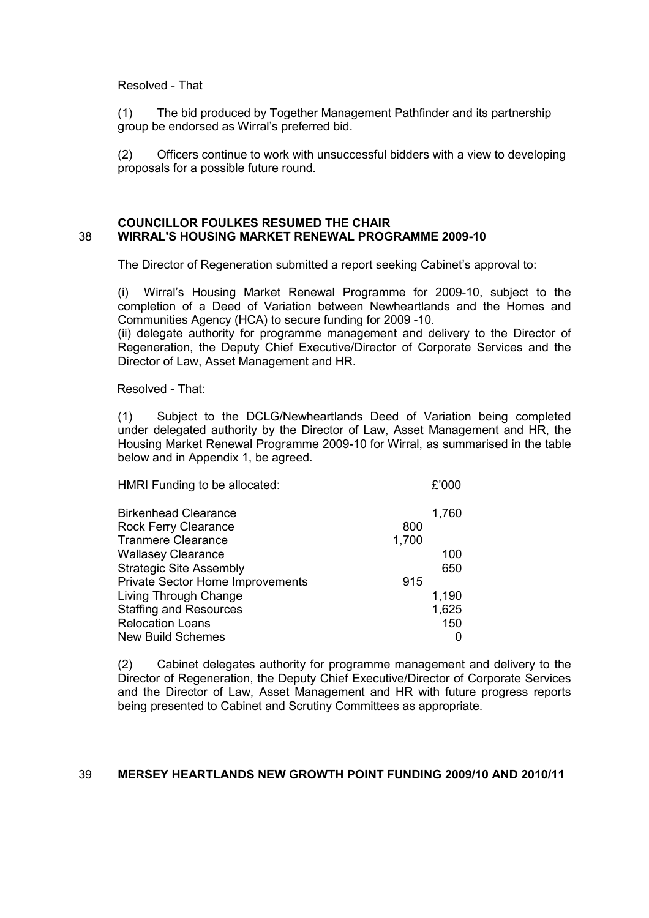#### Resolved - That

(1) The bid produced by Together Management Pathfinder and its partnership group be endorsed as Wirral's preferred bid.

(2) Officers continue to work with unsuccessful bidders with a view to developing proposals for a possible future round.

## COUNCILLOR FOULKES RESUMED THE CHAIR 38 WIRRAL'S HOUSING MARKET RENEWAL PROGRAMME 2009-10

The Director of Regeneration submitted a report seeking Cabinet's approval to:

(i) Wirral's Housing Market Renewal Programme for 2009-10, subject to the completion of a Deed of Variation between Newheartlands and the Homes and Communities Agency (HCA) to secure funding for 2009 -10.

(ii) delegate authority for programme management and delivery to the Director of Regeneration, the Deputy Chief Executive/Director of Corporate Services and the Director of Law, Asset Management and HR.

Resolved - That:

(1) Subject to the DCLG/Newheartlands Deed of Variation being completed under delegated authority by the Director of Law, Asset Management and HR, the Housing Market Renewal Programme 2009-10 for Wirral, as summarised in the table below and in Appendix 1, be agreed.

| HMRI Funding to be allocated:           |       | £'000 |
|-----------------------------------------|-------|-------|
| <b>Birkenhead Clearance</b>             |       | 1,760 |
| <b>Rock Ferry Clearance</b>             | 800   |       |
| <b>Tranmere Clearance</b>               | 1,700 |       |
| <b>Wallasey Clearance</b>               |       | 100   |
| <b>Strategic Site Assembly</b>          |       | 650   |
| <b>Private Sector Home Improvements</b> | 915   |       |
| Living Through Change                   |       | 1,190 |
| <b>Staffing and Resources</b>           |       | 1,625 |
| <b>Relocation Loans</b>                 |       | 150   |
| <b>New Build Schemes</b>                |       |       |

(2) Cabinet delegates authority for programme management and delivery to the Director of Regeneration, the Deputy Chief Executive/Director of Corporate Services and the Director of Law, Asset Management and HR with future progress reports being presented to Cabinet and Scrutiny Committees as appropriate.

#### 39 MERSEY HEARTLANDS NEW GROWTH POINT FUNDING 2009/10 AND 2010/11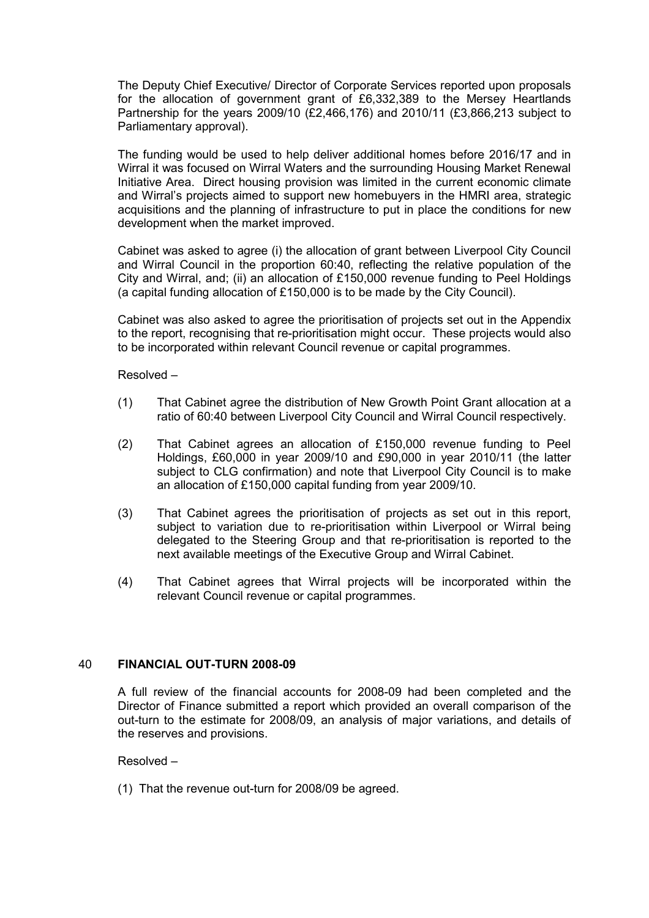The Deputy Chief Executive/ Director of Corporate Services reported upon proposals for the allocation of government grant of £6,332,389 to the Mersey Heartlands Partnership for the years 2009/10 (£2,466,176) and 2010/11 (£3,866,213 subject to Parliamentary approval).

The funding would be used to help deliver additional homes before 2016/17 and in Wirral it was focused on Wirral Waters and the surrounding Housing Market Renewal Initiative Area. Direct housing provision was limited in the current economic climate and Wirral's projects aimed to support new homebuyers in the HMRI area, strategic acquisitions and the planning of infrastructure to put in place the conditions for new development when the market improved.

Cabinet was asked to agree (i) the allocation of grant between Liverpool City Council and Wirral Council in the proportion 60:40, reflecting the relative population of the City and Wirral, and; (ii) an allocation of £150,000 revenue funding to Peel Holdings (a capital funding allocation of £150,000 is to be made by the City Council).

Cabinet was also asked to agree the prioritisation of projects set out in the Appendix to the report, recognising that re-prioritisation might occur. These projects would also to be incorporated within relevant Council revenue or capital programmes.

Resolved –

- (1) That Cabinet agree the distribution of New Growth Point Grant allocation at a ratio of 60:40 between Liverpool City Council and Wirral Council respectively.
- (2) That Cabinet agrees an allocation of £150,000 revenue funding to Peel Holdings, £60,000 in year 2009/10 and £90,000 in year 2010/11 (the latter subject to CLG confirmation) and note that Liverpool City Council is to make an allocation of £150,000 capital funding from year 2009/10.
- (3) That Cabinet agrees the prioritisation of projects as set out in this report, subject to variation due to re-prioritisation within Liverpool or Wirral being delegated to the Steering Group and that re-prioritisation is reported to the next available meetings of the Executive Group and Wirral Cabinet.
- (4) That Cabinet agrees that Wirral projects will be incorporated within the relevant Council revenue or capital programmes.

#### 40 FINANCIAL OUT-TURN 2008-09

A full review of the financial accounts for 2008-09 had been completed and the Director of Finance submitted a report which provided an overall comparison of the out-turn to the estimate for 2008/09, an analysis of major variations, and details of the reserves and provisions.

Resolved –

(1) That the revenue out-turn for 2008/09 be agreed.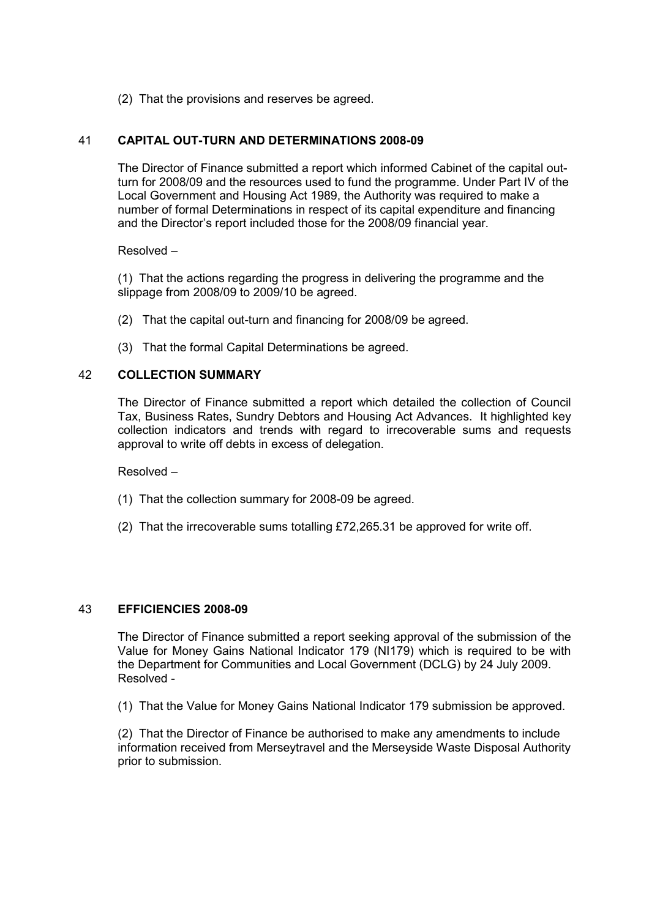(2) That the provisions and reserves be agreed.

#### 41 CAPITAL OUT-TURN AND DETERMINATIONS 2008-09

The Director of Finance submitted a report which informed Cabinet of the capital outturn for 2008/09 and the resources used to fund the programme. Under Part IV of the Local Government and Housing Act 1989, the Authority was required to make a number of formal Determinations in respect of its capital expenditure and financing and the Director's report included those for the 2008/09 financial year.

Resolved –

(1) That the actions regarding the progress in delivering the programme and the slippage from 2008/09 to 2009/10 be agreed.

- (2) That the capital out-turn and financing for 2008/09 be agreed.
- (3) That the formal Capital Determinations be agreed.

#### 42 COLLECTION SUMMARY

The Director of Finance submitted a report which detailed the collection of Council Tax, Business Rates, Sundry Debtors and Housing Act Advances. It highlighted key collection indicators and trends with regard to irrecoverable sums and requests approval to write off debts in excess of delegation.

Resolved –

- (1) That the collection summary for 2008-09 be agreed.
- (2) That the irrecoverable sums totalling £72,265.31 be approved for write off.

#### 43 EFFICIENCIES 2008-09

The Director of Finance submitted a report seeking approval of the submission of the Value for Money Gains National Indicator 179 (NI179) which is required to be with the Department for Communities and Local Government (DCLG) by 24 July 2009. Resolved -

(1) That the Value for Money Gains National Indicator 179 submission be approved.

(2) That the Director of Finance be authorised to make any amendments to include information received from Merseytravel and the Merseyside Waste Disposal Authority prior to submission.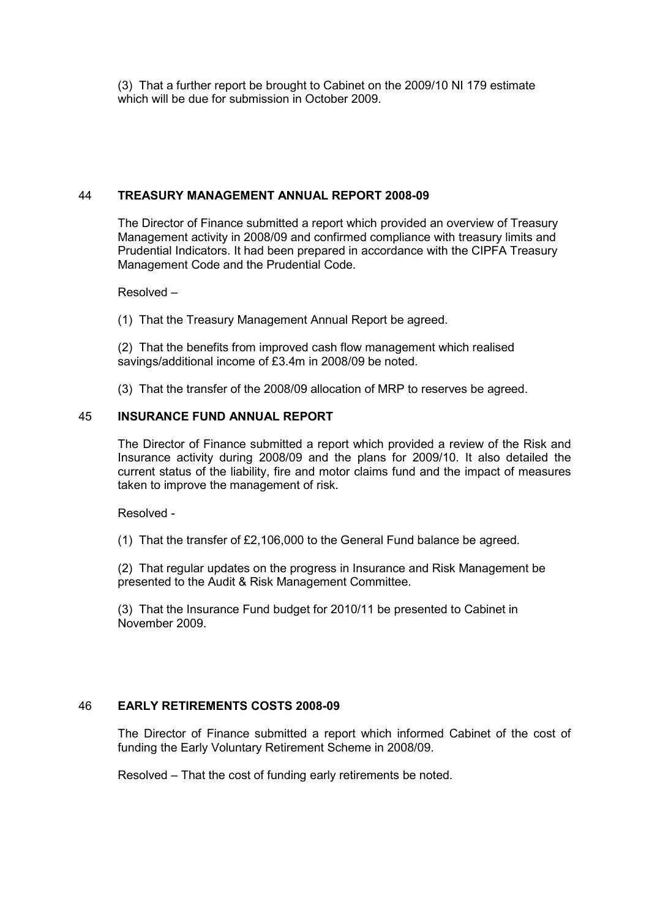(3) That a further report be brought to Cabinet on the 2009/10 NI 179 estimate which will be due for submission in October 2009.

## 44 TREASURY MANAGEMENT ANNUAL REPORT 2008-09

The Director of Finance submitted a report which provided an overview of Treasury Management activity in 2008/09 and confirmed compliance with treasury limits and Prudential Indicators. It had been prepared in accordance with the CIPFA Treasury Management Code and the Prudential Code.

Resolved –

(1) That the Treasury Management Annual Report be agreed.

(2) That the benefits from improved cash flow management which realised savings/additional income of £3.4m in 2008/09 be noted.

(3) That the transfer of the 2008/09 allocation of MRP to reserves be agreed.

#### 45 INSURANCE FUND ANNUAL REPORT

The Director of Finance submitted a report which provided a review of the Risk and Insurance activity during 2008/09 and the plans for 2009/10. It also detailed the current status of the liability, fire and motor claims fund and the impact of measures taken to improve the management of risk.

Resolved -

(1) That the transfer of £2,106,000 to the General Fund balance be agreed.

(2) That regular updates on the progress in Insurance and Risk Management be presented to the Audit & Risk Management Committee.

(3) That the Insurance Fund budget for 2010/11 be presented to Cabinet in November 2009.

## 46 EARLY RETIREMENTS COSTS 2008-09

The Director of Finance submitted a report which informed Cabinet of the cost of funding the Early Voluntary Retirement Scheme in 2008/09.

Resolved – That the cost of funding early retirements be noted.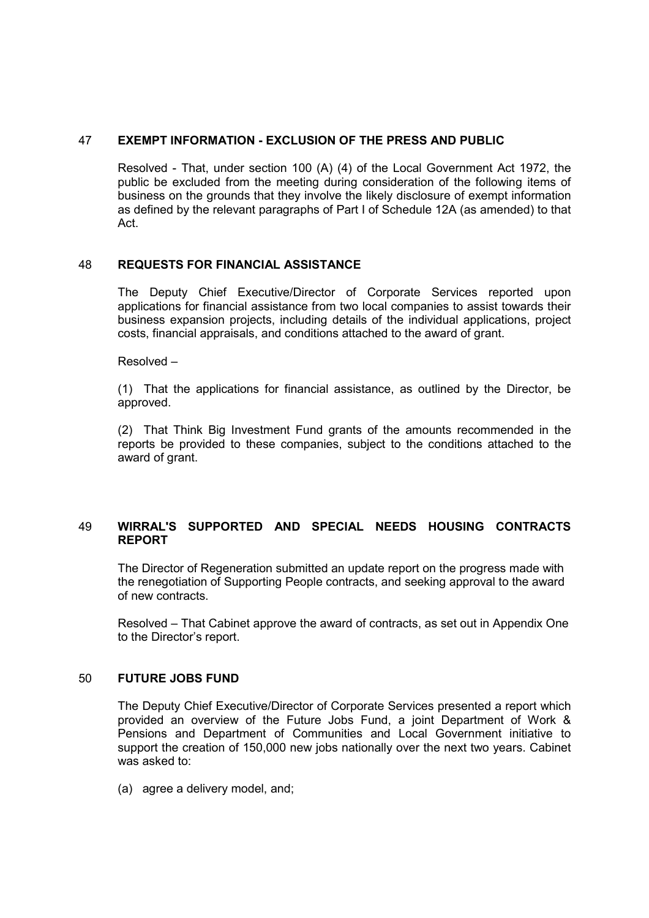#### 47 EXEMPT INFORMATION - EXCLUSION OF THE PRESS AND PUBLIC

Resolved - That, under section 100 (A) (4) of the Local Government Act 1972, the public be excluded from the meeting during consideration of the following items of business on the grounds that they involve the likely disclosure of exempt information as defined by the relevant paragraphs of Part I of Schedule 12A (as amended) to that Act.

#### 48 REQUESTS FOR FINANCIAL ASSISTANCE

The Deputy Chief Executive/Director of Corporate Services reported upon applications for financial assistance from two local companies to assist towards their business expansion projects, including details of the individual applications, project costs, financial appraisals, and conditions attached to the award of grant.

Resolved –

(1) That the applications for financial assistance, as outlined by the Director, be approved.

(2) That Think Big Investment Fund grants of the amounts recommended in the reports be provided to these companies, subject to the conditions attached to the award of grant.

# 49 WIRRAL'S SUPPORTED AND SPECIAL NEEDS HOUSING CONTRACTS REPORT

The Director of Regeneration submitted an update report on the progress made with the renegotiation of Supporting People contracts, and seeking approval to the award of new contracts.

Resolved – That Cabinet approve the award of contracts, as set out in Appendix One to the Director's report.

## 50 FUTURE JOBS FUND

The Deputy Chief Executive/Director of Corporate Services presented a report which provided an overview of the Future Jobs Fund, a joint Department of Work & Pensions and Department of Communities and Local Government initiative to support the creation of 150,000 new jobs nationally over the next two years. Cabinet was asked to:

(a) agree a delivery model, and;